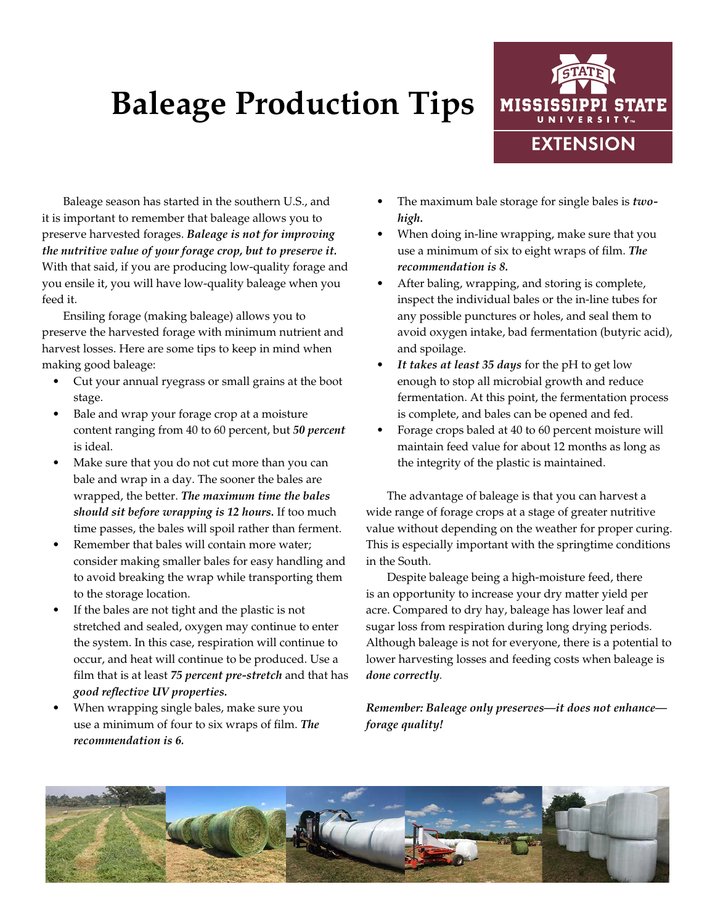## **Baleage Production Tips**



Baleage season has started in the southern U.S., and it is important to remember that baleage allows you to preserve harvested forages. *Baleage is not for improving the nutritive value of your forage crop, but to preserve it.* With that said, if you are producing low-quality forage and you ensile it, you will have low-quality baleage when you feed it.

Ensiling forage (making baleage) allows you to preserve the harvested forage with minimum nutrient and harvest losses. Here are some tips to keep in mind when making good baleage:

- Cut your annual ryegrass or small grains at the boot stage.
- Bale and wrap your forage crop at a moisture content ranging from 40 to 60 percent, but *50 percent*  is ideal.
- Make sure that you do not cut more than you can bale and wrap in a day. The sooner the bales are wrapped, the better. *The maximum time the bales should sit before wrapping is 12 hours.* If too much time passes, the bales will spoil rather than ferment.
- Remember that bales will contain more water; consider making smaller bales for easy handling and to avoid breaking the wrap while transporting them to the storage location.
- If the bales are not tight and the plastic is not stretched and sealed, oxygen may continue to enter the system. In this case, respiration will continue to occur, and heat will continue to be produced. Use a film that is at least *75 percent pre-stretch* and that has *good reflective UV properties.*
- When wrapping single bales, make sure you use a minimum of four to six wraps of film. *The recommendation is 6.*
- The maximum bale storage for single bales is *twohigh.*
- When doing in-line wrapping, make sure that you use a minimum of six to eight wraps of film. *The recommendation is 8.*
- After baling, wrapping, and storing is complete, inspect the individual bales or the in-line tubes for any possible punctures or holes, and seal them to avoid oxygen intake, bad fermentation (butyric acid), and spoilage.
- *• It takes at least 35 days* for the pH to get low enough to stop all microbial growth and reduce fermentation. At this point, the fermentation process is complete, and bales can be opened and fed.
- Forage crops baled at 40 to 60 percent moisture will maintain feed value for about 12 months as long as the integrity of the plastic is maintained.

The advantage of baleage is that you can harvest a wide range of forage crops at a stage of greater nutritive value without depending on the weather for proper curing. This is especially important with the springtime conditions in the South.

Despite baleage being a high-moisture feed, there is an opportunity to increase your dry matter yield per acre. Compared to dry hay, baleage has lower leaf and sugar loss from respiration during long drying periods. Although baleage is not for everyone, there is a potential to lower harvesting losses and feeding costs when baleage is *done correctly.*

*Remember: Baleage only preserves—it does not enhance forage quality!*